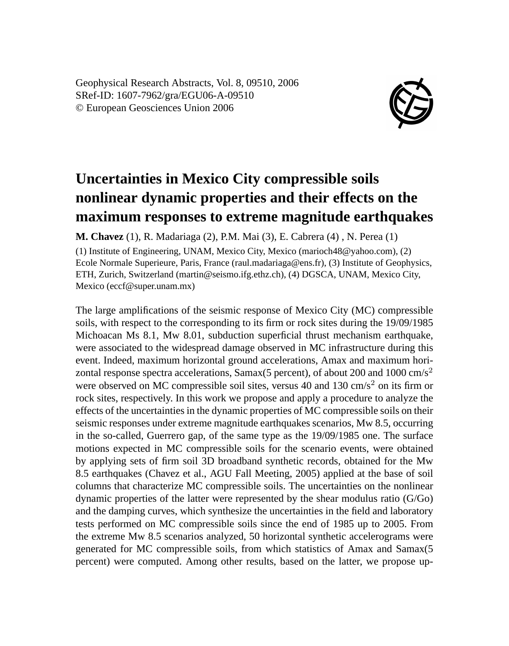Geophysical Research Abstracts, Vol. 8, 09510, 2006 SRef-ID: 1607-7962/gra/EGU06-A-09510 © European Geosciences Union 2006



## **Uncertainties in Mexico City compressible soils nonlinear dynamic properties and their effects on the maximum responses to extreme magnitude earthquakes**

**M. Chavez** (1), R. Madariaga (2), P.M. Mai (3), E. Cabrera (4) , N. Perea (1)

(1) Institute of Engineering, UNAM, Mexico City, Mexico (marioch48@yahoo.com), (2) Ecole Normale Superieure, Paris, France (raul.madariaga@ens.fr), (3) Institute of Geophysics, ETH, Zurich, Switzerland (martin@seismo.ifg.ethz.ch), (4) DGSCA, UNAM, Mexico City, Mexico (eccf@super.unam.mx)

The large amplifications of the seismic response of Mexico City (MC) compressible soils, with respect to the corresponding to its firm or rock sites during the 19/09/1985 Michoacan Ms 8.1, Mw 8.01, subduction superficial thrust mechanism earthquake, were associated to the widespread damage observed in MC infrastructure during this event. Indeed, maximum horizontal ground accelerations, Amax and maximum horizontal response spectra accelerations, Samax $(5 \text{ percent})$ , of about 200 and 1000 cm/s<sup>2</sup> were observed on MC compressible soil sites, versus 40 and 130  $\text{cm/s}^2$  on its firm or rock sites, respectively. In this work we propose and apply a procedure to analyze the effects of the uncertainties in the dynamic properties of MC compressible soils on their seismic responses under extreme magnitude earthquakes scenarios, Mw 8.5, occurring in the so-called, Guerrero gap, of the same type as the 19/09/1985 one. The surface motions expected in MC compressible soils for the scenario events, were obtained by applying sets of firm soil 3D broadband synthetic records, obtained for the Mw 8.5 earthquakes (Chavez et al., AGU Fall Meeting, 2005) applied at the base of soil columns that characterize MC compressible soils. The uncertainties on the nonlinear dynamic properties of the latter were represented by the shear modulus ratio (G/Go) and the damping curves, which synthesize the uncertainties in the field and laboratory tests performed on MC compressible soils since the end of 1985 up to 2005. From the extreme Mw 8.5 scenarios analyzed, 50 horizontal synthetic accelerograms were generated for MC compressible soils, from which statistics of Amax and Samax(5 percent) were computed. Among other results, based on the latter, we propose up-